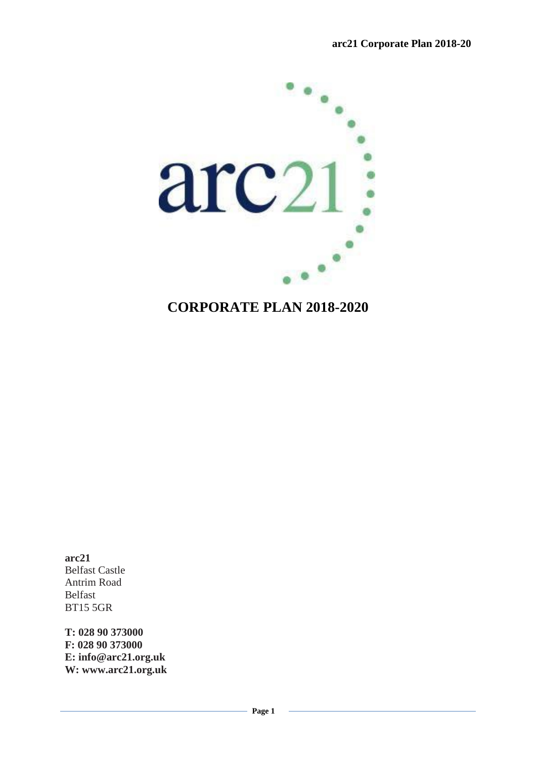

# **CORPORATE PLAN 2018-2020**

**arc21** Belfast Castle Antrim Road Belfast BT15 5GR

**T: 028 90 373000 F: 028 90 373000 E: info@arc21.org.uk W: www.arc21.org.uk**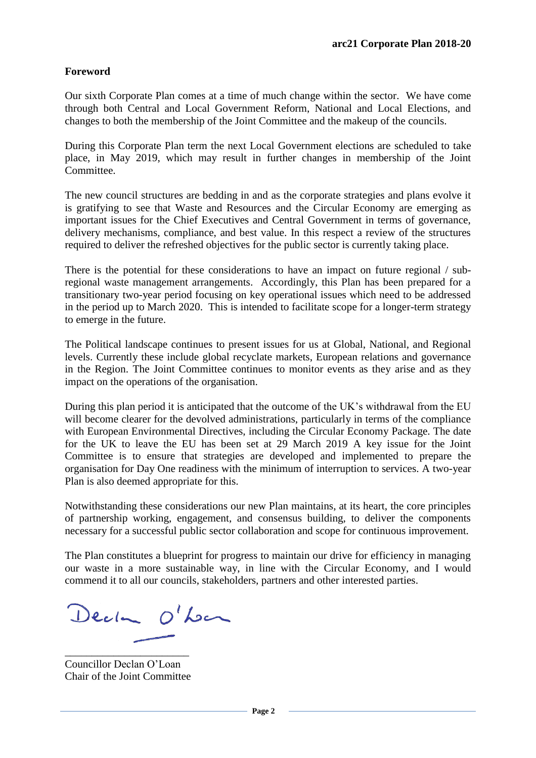# **Foreword**

Our sixth Corporate Plan comes at a time of much change within the sector. We have come through both Central and Local Government Reform, National and Local Elections, and changes to both the membership of the Joint Committee and the makeup of the councils.

During this Corporate Plan term the next Local Government elections are scheduled to take place, in May 2019, which may result in further changes in membership of the Joint Committee.

The new council structures are bedding in and as the corporate strategies and plans evolve it is gratifying to see that Waste and Resources and the Circular Economy are emerging as important issues for the Chief Executives and Central Government in terms of governance, delivery mechanisms, compliance, and best value. In this respect a review of the structures required to deliver the refreshed objectives for the public sector is currently taking place.

There is the potential for these considerations to have an impact on future regional / subregional waste management arrangements. Accordingly, this Plan has been prepared for a transitionary two-year period focusing on key operational issues which need to be addressed in the period up to March 2020. This is intended to facilitate scope for a longer-term strategy to emerge in the future.

The Political landscape continues to present issues for us at Global, National, and Regional levels. Currently these include global recyclate markets, European relations and governance in the Region. The Joint Committee continues to monitor events as they arise and as they impact on the operations of the organisation.

During this plan period it is anticipated that the outcome of the UK's withdrawal from the EU will become clearer for the devolved administrations, particularly in terms of the compliance with European Environmental Directives, including the Circular Economy Package. The date for the UK to leave the EU has been set at 29 March 2019 A key issue for the Joint Committee is to ensure that strategies are developed and implemented to prepare the organisation for Day One readiness with the minimum of interruption to services. A two-year Plan is also deemed appropriate for this.

Notwithstanding these considerations our new Plan maintains, at its heart, the core principles of partnership working, engagement, and consensus building, to deliver the components necessary for a successful public sector collaboration and scope for continuous improvement.

The Plan constitutes a blueprint for progress to maintain our drive for efficiency in managing our waste in a more sustainable way, in line with the Circular Economy, and I would commend it to all our councils, stakeholders, partners and other interested parties.

Decker O'Lon

\_\_\_\_\_\_\_\_\_\_\_\_\_\_\_\_\_\_\_\_\_\_\_ Councillor Declan O'Loan Chair of the Joint Committee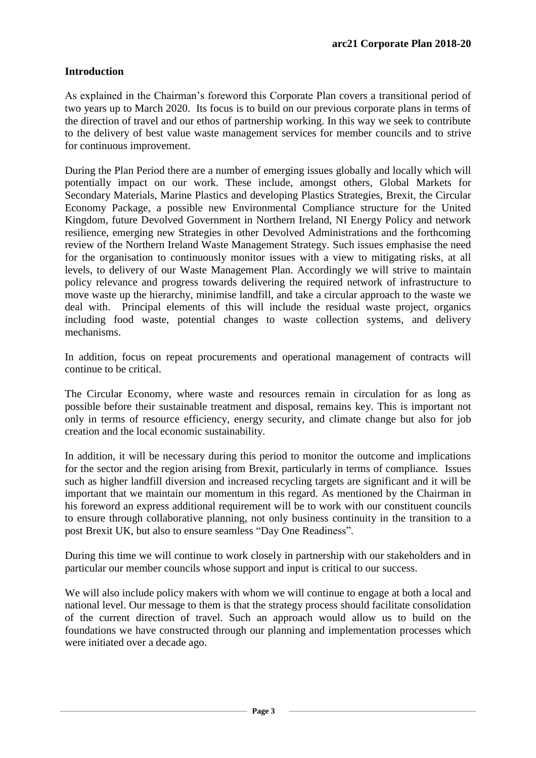# **Introduction**

As explained in the Chairman's foreword this Corporate Plan covers a transitional period of two years up to March 2020. Its focus is to build on our previous corporate plans in terms of the direction of travel and our ethos of partnership working. In this way we seek to contribute to the delivery of best value waste management services for member councils and to strive for continuous improvement.

During the Plan Period there are a number of emerging issues globally and locally which will potentially impact on our work. These include, amongst others, Global Markets for Secondary Materials, Marine Plastics and developing Plastics Strategies, Brexit, the Circular Economy Package, a possible new Environmental Compliance structure for the United Kingdom, future Devolved Government in Northern Ireland, NI Energy Policy and network resilience, emerging new Strategies in other Devolved Administrations and the forthcoming review of the Northern Ireland Waste Management Strategy. Such issues emphasise the need for the organisation to continuously monitor issues with a view to mitigating risks, at all levels, to delivery of our Waste Management Plan. Accordingly we will strive to maintain policy relevance and progress towards delivering the required network of infrastructure to move waste up the hierarchy, minimise landfill, and take a circular approach to the waste we deal with. Principal elements of this will include the residual waste project, organics including food waste, potential changes to waste collection systems, and delivery mechanisms.

In addition, focus on repeat procurements and operational management of contracts will continue to be critical.

The Circular Economy, where waste and resources remain in circulation for as long as possible before their sustainable treatment and disposal, remains key. This is important not only in terms of resource efficiency, energy security, and climate change but also for job creation and the local economic sustainability.

In addition, it will be necessary during this period to monitor the outcome and implications for the sector and the region arising from Brexit, particularly in terms of compliance. Issues such as higher landfill diversion and increased recycling targets are significant and it will be important that we maintain our momentum in this regard. As mentioned by the Chairman in his foreword an express additional requirement will be to work with our constituent councils to ensure through collaborative planning, not only business continuity in the transition to a post Brexit UK, but also to ensure seamless "Day One Readiness".

During this time we will continue to work closely in partnership with our stakeholders and in particular our member councils whose support and input is critical to our success.

We will also include policy makers with whom we will continue to engage at both a local and national level. Our message to them is that the strategy process should facilitate consolidation of the current direction of travel. Such an approach would allow us to build on the foundations we have constructed through our planning and implementation processes which were initiated over a decade ago.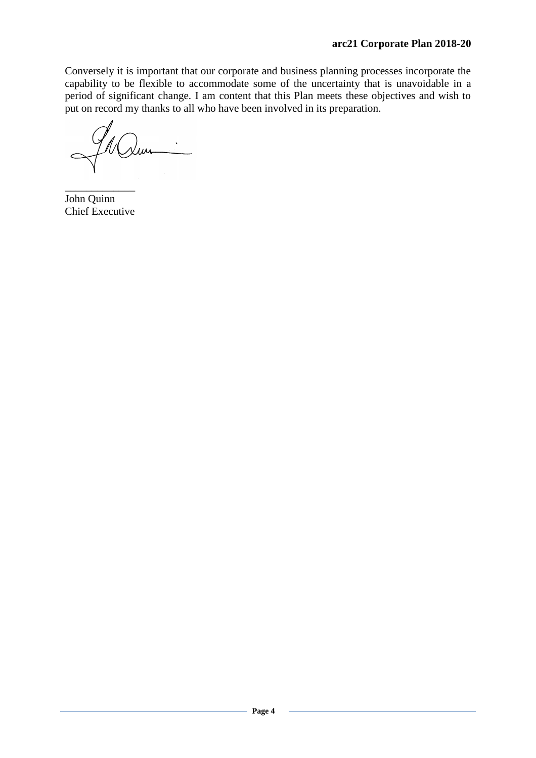Conversely it is important that our corporate and business planning processes incorporate the capability to be flexible to accommodate some of the uncertainty that is unavoidable in a period of significant change. I am content that this Plan meets these objectives and wish to put on record my thanks to all who have been involved in its preparation.

 $\overline{\phantom{a}}$  , where  $\overline{\phantom{a}}$ John Quinn Chief Executive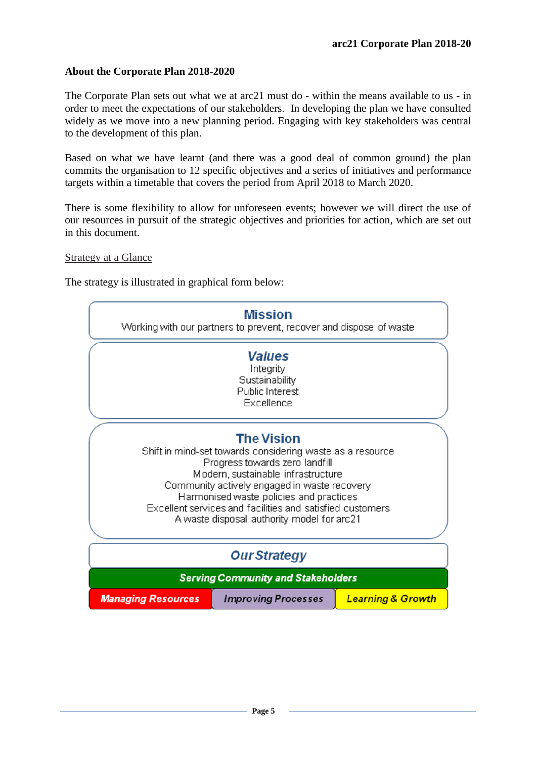### **About the Corporate Plan 2018-2020**

The Corporate Plan sets out what we at arc21 must do - within the means available to us - in order to meet the expectations of our stakeholders. In developing the plan we have consulted widely as we move into a new planning period. Engaging with key stakeholders was central to the development of this plan.

Based on what we have learnt (and there was a good deal of common ground) the plan commits the organisation to 12 specific objectives and a series of initiatives and performance targets within a timetable that covers the period from April 2018 to March 2020.

There is some flexibility to allow for unforeseen events; however we will direct the use of our resources in pursuit of the strategic objectives and priorities for action, which are set out in this document.

Strategy at a Glance

The strategy is illustrated in graphical form below:

| <b>Mission</b><br>Working with our partners to prevent, recover and dispose of waste                                                                                                                                                                                                                                                                         |                            |                              |
|--------------------------------------------------------------------------------------------------------------------------------------------------------------------------------------------------------------------------------------------------------------------------------------------------------------------------------------------------------------|----------------------------|------------------------------|
| <b>Values</b><br>Integrity<br>Sustainability<br>Public Interest<br>Excellence                                                                                                                                                                                                                                                                                |                            |                              |
| <b>The Vision</b><br>Shift in mind-set towards considering waste as a resource<br>Progress towards zero landfill<br>Modern, sustainable infrastructure<br>Community actively engaged in waste recovery<br>Harmonised waste policies and practices<br>Excellent services and facilities and satisfied customers<br>A waste disposal authority model for arc21 |                            |                              |
| <b>Our Strategy</b>                                                                                                                                                                                                                                                                                                                                          |                            |                              |
| <b>Serving Community and Stakeholders</b>                                                                                                                                                                                                                                                                                                                    |                            |                              |
| <b>Managing Resources</b>                                                                                                                                                                                                                                                                                                                                    | <b>Improving Processes</b> | <b>Learning &amp; Growth</b> |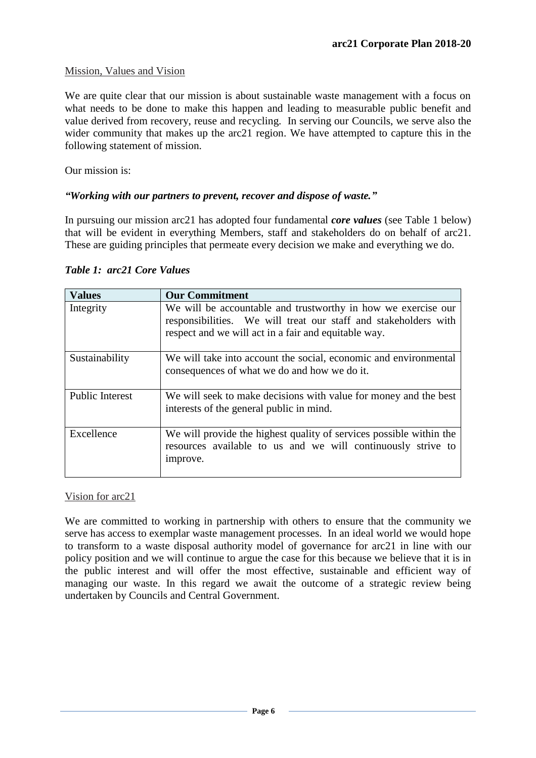### Mission, Values and Vision

We are quite clear that our mission is about sustainable waste management with a focus on what needs to be done to make this happen and leading to measurable public benefit and value derived from recovery, reuse and recycling. In serving our Councils, we serve also the wider community that makes up the arc21 region. We have attempted to capture this in the following statement of mission.

Our mission is:

### *"Working with our partners to prevent, recover and dispose of waste."*

In pursuing our mission arc21 has adopted four fundamental *core values* (see Table 1 below) that will be evident in everything Members, staff and stakeholders do on behalf of arc21. These are guiding principles that permeate every decision we make and everything we do.

| <b>Values</b>          | <b>Our Commitment</b>                                                                                                                                                                    |
|------------------------|------------------------------------------------------------------------------------------------------------------------------------------------------------------------------------------|
| Integrity              | We will be accountable and trustworthy in how we exercise our<br>responsibilities. We will treat our staff and stakeholders with<br>respect and we will act in a fair and equitable way. |
| Sustainability         | We will take into account the social, economic and environmental<br>consequences of what we do and how we do it.                                                                         |
| <b>Public Interest</b> | We will seek to make decisions with value for money and the best<br>interests of the general public in mind.                                                                             |
| Excellence             | We will provide the highest quality of services possible within the<br>resources available to us and we will continuously strive to<br>improve.                                          |

### *Table 1: arc21 Core Values*

Vision for arc21

We are committed to working in partnership with others to ensure that the community we serve has access to exemplar waste management processes. In an ideal world we would hope to transform to a waste disposal authority model of governance for arc21 in line with our policy position and we will continue to argue the case for this because we believe that it is in the public interest and will offer the most effective, sustainable and efficient way of managing our waste. In this regard we await the outcome of a strategic review being undertaken by Councils and Central Government.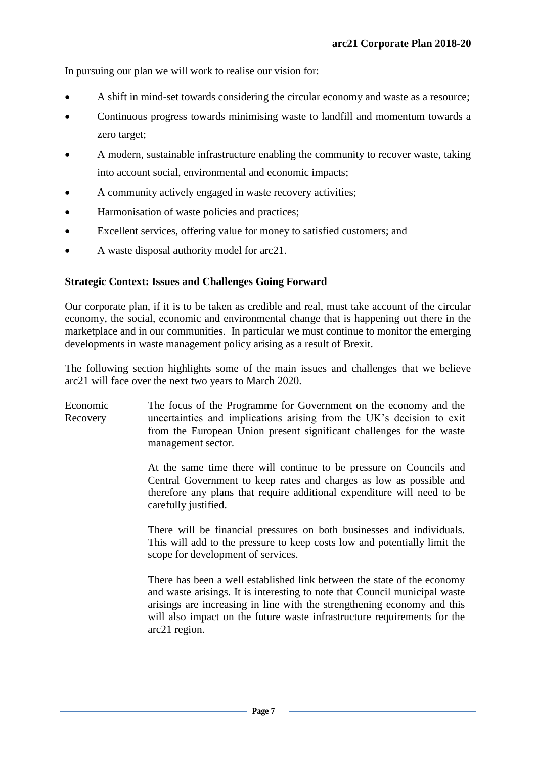In pursuing our plan we will work to realise our vision for:

- A shift in mind-set towards considering the circular economy and waste as a resource;
- Continuous progress towards minimising waste to landfill and momentum towards a zero target;
- A modern, sustainable infrastructure enabling the community to recover waste, taking into account social, environmental and economic impacts;
- A community actively engaged in waste recovery activities;
- Harmonisation of waste policies and practices;
- Excellent services, offering value for money to satisfied customers; and
- A waste disposal authority model for arc21.

### **Strategic Context: Issues and Challenges Going Forward**

Our corporate plan, if it is to be taken as credible and real, must take account of the circular economy, the social, economic and environmental change that is happening out there in the marketplace and in our communities. In particular we must continue to monitor the emerging developments in waste management policy arising as a result of Brexit.

The following section highlights some of the main issues and challenges that we believe arc21 will face over the next two years to March 2020.

Economic Recovery The focus of the Programme for Government on the economy and the uncertainties and implications arising from the UK's decision to exit from the European Union present significant challenges for the waste management sector.

> At the same time there will continue to be pressure on Councils and Central Government to keep rates and charges as low as possible and therefore any plans that require additional expenditure will need to be carefully justified.

> There will be financial pressures on both businesses and individuals. This will add to the pressure to keep costs low and potentially limit the scope for development of services.

> There has been a well established link between the state of the economy and waste arisings. It is interesting to note that Council municipal waste arisings are increasing in line with the strengthening economy and this will also impact on the future waste infrastructure requirements for the arc21 region.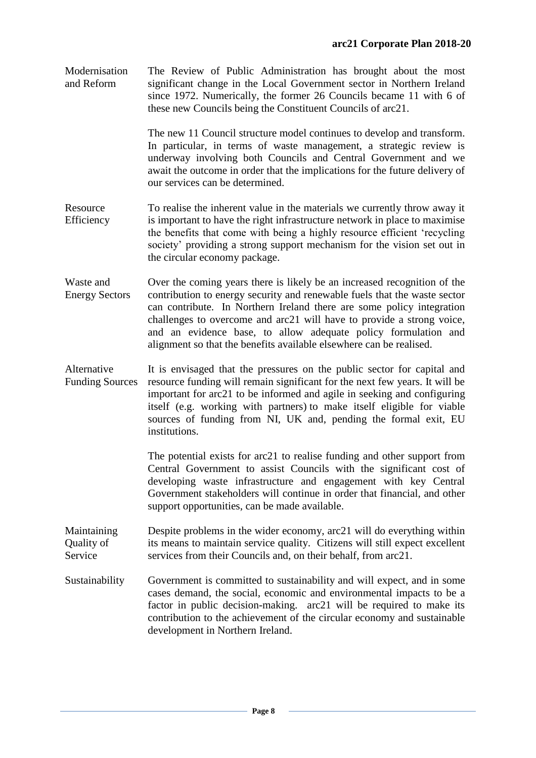Modernisation and Reform The Review of Public Administration has brought about the most significant change in the Local Government sector in Northern Ireland since 1972. Numerically, the former 26 Councils became 11 with 6 of these new Councils being the Constituent Councils of arc21.

> The new 11 Council structure model continues to develop and transform. In particular, in terms of waste management, a strategic review is underway involving both Councils and Central Government and we await the outcome in order that the implications for the future delivery of our services can be determined.

- Resource Efficiency To realise the inherent value in the materials we currently throw away it is important to have the right infrastructure network in place to maximise the benefits that come with being a highly resource efficient 'recycling society' providing a strong support mechanism for the vision set out in the circular economy package.
- Waste and Energy Sectors Over the coming years there is likely be an increased recognition of the contribution to energy security and renewable fuels that the waste sector can contribute. In Northern Ireland there are some policy integration challenges to overcome and arc21 will have to provide a strong voice, and an evidence base, to allow adequate policy formulation and alignment so that the benefits available elsewhere can be realised.

Alternative Funding Sources It is envisaged that the pressures on the public sector for capital and resource funding will remain significant for the next few years. It will be important for arc21 to be informed and agile in seeking and configuring itself (e.g. working with partners) to make itself eligible for viable sources of funding from NI, UK and, pending the formal exit, EU institutions.

> The potential exists for arc21 to realise funding and other support from Central Government to assist Councils with the significant cost of developing waste infrastructure and engagement with key Central Government stakeholders will continue in order that financial, and other support opportunities, can be made available.

- Maintaining Quality of Service Despite problems in the wider economy, arc21 will do everything within its means to maintain service quality. Citizens will still expect excellent services from their Councils and, on their behalf, from arc21.
- Sustainability Government is committed to sustainability and will expect, and in some cases demand, the social, economic and environmental impacts to be a factor in public decision-making. arc21 will be required to make its contribution to the achievement of the circular economy and sustainable development in Northern Ireland.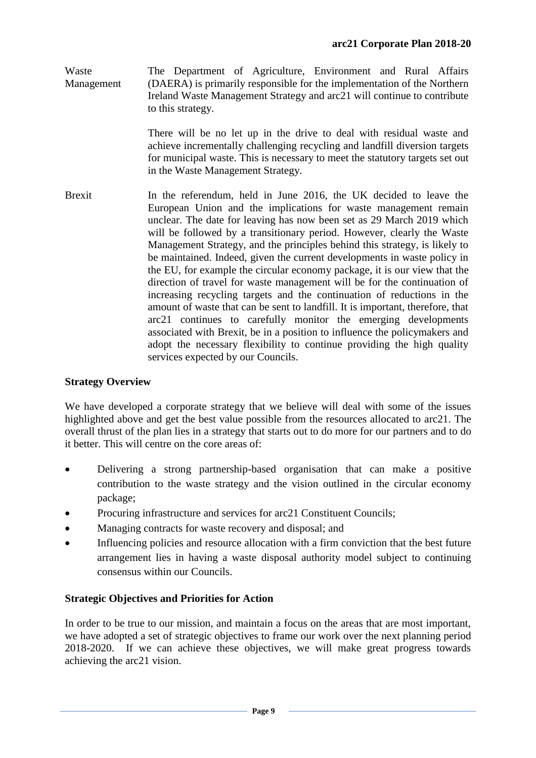Waste Management The Department of Agriculture, Environment and Rural Affairs (DAERA) is primarily responsible for the implementation of the Northern Ireland Waste Management Strategy and arc21 will continue to contribute to this strategy.

> There will be no let up in the drive to deal with residual waste and achieve incrementally challenging recycling and landfill diversion targets for municipal waste. This is necessary to meet the statutory targets set out in the Waste Management Strategy.

Brexit In the referendum, held in June 2016, the UK decided to leave the European Union and the implications for waste management remain unclear. The date for leaving has now been set as 29 March 2019 which will be followed by a transitionary period. However, clearly the Waste Management Strategy, and the principles behind this strategy, is likely to be maintained. Indeed, given the current developments in waste policy in the EU, for example the circular economy package, it is our view that the direction of travel for waste management will be for the continuation of increasing recycling targets and the continuation of reductions in the amount of waste that can be sent to landfill. It is important, therefore, that arc21 continues to carefully monitor the emerging developments associated with Brexit, be in a position to influence the policymakers and adopt the necessary flexibility to continue providing the high quality services expected by our Councils.

# **Strategy Overview**

We have developed a corporate strategy that we believe will deal with some of the issues highlighted above and get the best value possible from the resources allocated to arc21. The overall thrust of the plan lies in a strategy that starts out to do more for our partners and to do it better. This will centre on the core areas of:

- Delivering a strong partnership-based organisation that can make a positive contribution to the waste strategy and the vision outlined in the circular economy package;
- Procuring infrastructure and services for arc21 Constituent Councils:
- Managing contracts for waste recovery and disposal; and
- Influencing policies and resource allocation with a firm conviction that the best future arrangement lies in having a waste disposal authority model subject to continuing consensus within our Councils.

### **Strategic Objectives and Priorities for Action**

In order to be true to our mission, and maintain a focus on the areas that are most important, we have adopted a set of strategic objectives to frame our work over the next planning period 2018-2020. If we can achieve these objectives, we will make great progress towards achieving the arc21 vision.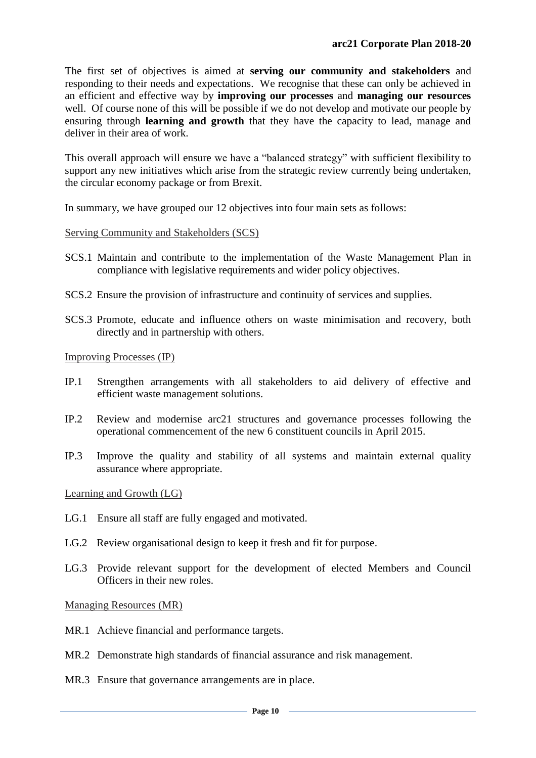The first set of objectives is aimed at **serving our community and stakeholders** and responding to their needs and expectations. We recognise that these can only be achieved in an efficient and effective way by **improving our processes** and **managing our resources** well. Of course none of this will be possible if we do not develop and motivate our people by ensuring through **learning and growth** that they have the capacity to lead, manage and deliver in their area of work.

This overall approach will ensure we have a "balanced strategy" with sufficient flexibility to support any new initiatives which arise from the strategic review currently being undertaken, the circular economy package or from Brexit.

In summary, we have grouped our 12 objectives into four main sets as follows:

#### Serving Community and Stakeholders (SCS)

- SCS.1 Maintain and contribute to the implementation of the Waste Management Plan in compliance with legislative requirements and wider policy objectives.
- SCS.2 Ensure the provision of infrastructure and continuity of services and supplies.
- SCS.3 Promote, educate and influence others on waste minimisation and recovery, both directly and in partnership with others.

Improving Processes (IP)

- IP.1 Strengthen arrangements with all stakeholders to aid delivery of effective and efficient waste management solutions.
- IP.2 Review and modernise arc21 structures and governance processes following the operational commencement of the new 6 constituent councils in April 2015.
- IP.3 Improve the quality and stability of all systems and maintain external quality assurance where appropriate.

Learning and Growth (LG)

- LG.1 Ensure all staff are fully engaged and motivated.
- LG.2 Review organisational design to keep it fresh and fit for purpose.
- LG.3 Provide relevant support for the development of elected Members and Council Officers in their new roles.

Managing Resources (MR)

- MR.1 Achieve financial and performance targets.
- MR.2 Demonstrate high standards of financial assurance and risk management.
- MR.3 Ensure that governance arrangements are in place.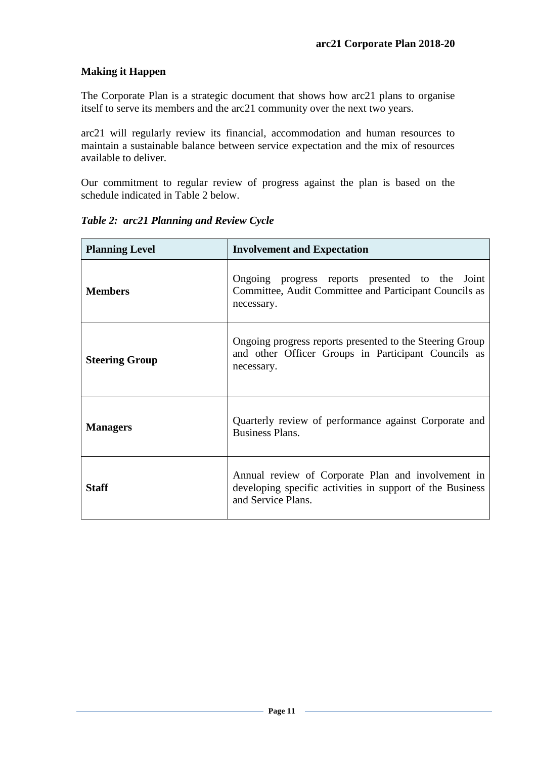# **Making it Happen**

The Corporate Plan is a strategic document that shows how arc21 plans to organise itself to serve its members and the arc21 community over the next two years.

arc21 will regularly review its financial, accommodation and human resources to maintain a sustainable balance between service expectation and the mix of resources available to deliver.

Our commitment to regular review of progress against the plan is based on the schedule indicated in Table 2 below.

| <b>Planning Level</b> | <b>Involvement and Expectation</b>                                                                                                    |  |
|-----------------------|---------------------------------------------------------------------------------------------------------------------------------------|--|
| <b>Members</b>        | Ongoing progress reports presented to the Joint<br>Committee, Audit Committee and Participant Councils as<br>necessary.               |  |
| <b>Steering Group</b> | Ongoing progress reports presented to the Steering Group<br>and other Officer Groups in Participant Councils as<br>necessary.         |  |
| <b>Managers</b>       | Quarterly review of performance against Corporate and<br>Business Plans.                                                              |  |
| Staff                 | Annual review of Corporate Plan and involvement in<br>developing specific activities in support of the Business<br>and Service Plans. |  |

*Table 2: arc21 Planning and Review Cycle*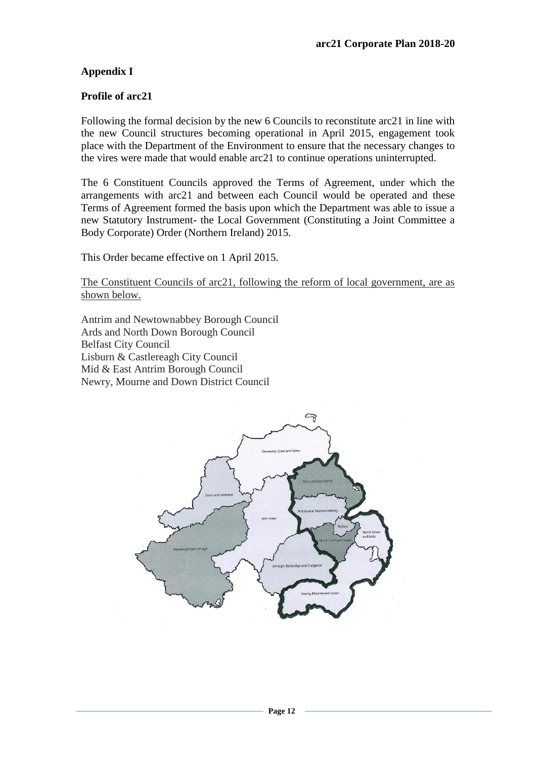# **Appendix I**

#### **Profile of arc21**

Following the formal decision by the new 6 Councils to reconstitute arc21 in line with the new Council structures becoming operational in April 2015, engagement took place with the Department of the Environment to ensure that the necessary changes to the vires were made that would enable arc21 to continue operations uninterrupted.

The 6 Constituent Councils approved the Terms of Agreement, under which the arrangements with arc21 and between each Council would be operated and these Terms of Agreement formed the basis upon which the Department was able to issue a new Statutory Instrument- the Local Government (Constituting a Joint Committee a Body Corporate) Order (Northern Ireland) 2015.

This Order became effective on 1 April 2015.

The Constituent Councils of arc21, following the reform of local government, are as shown below.

Antrim and Newtownabbey Borough Council Ards and North Down Borough Council Belfast City Council Lisburn & Castlereagh City Council Mid & East Antrim Borough Council Newry, Mourne and Down District Council

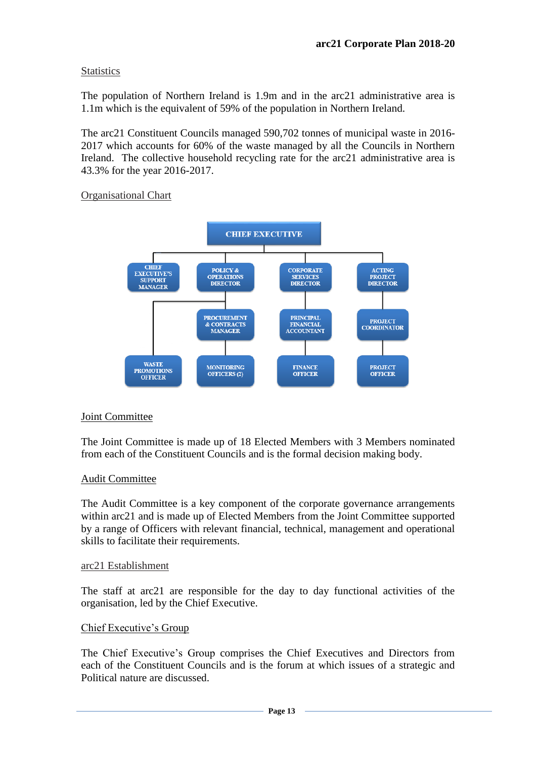### **Statistics**

The population of Northern Ireland is 1.9m and in the arc21 administrative area is 1.1m which is the equivalent of 59% of the population in Northern Ireland.

The arc21 Constituent Councils managed 590,702 tonnes of municipal waste in 2016- 2017 which accounts for 60% of the waste managed by all the Councils in Northern Ireland. The collective household recycling rate for the arc21 administrative area is 43.3% for the year 2016-2017.

### Organisational Chart



### Joint Committee

The Joint Committee is made up of 18 Elected Members with 3 Members nominated from each of the Constituent Councils and is the formal decision making body.

### Audit Committee

The Audit Committee is a key component of the corporate governance arrangements within arc21 and is made up of Elected Members from the Joint Committee supported by a range of Officers with relevant financial, technical, management and operational skills to facilitate their requirements.

#### arc21 Establishment

The staff at arc21 are responsible for the day to day functional activities of the organisation, led by the Chief Executive.

### Chief Executive's Group

The Chief Executive's Group comprises the Chief Executives and Directors from each of the Constituent Councils and is the forum at which issues of a strategic and Political nature are discussed.